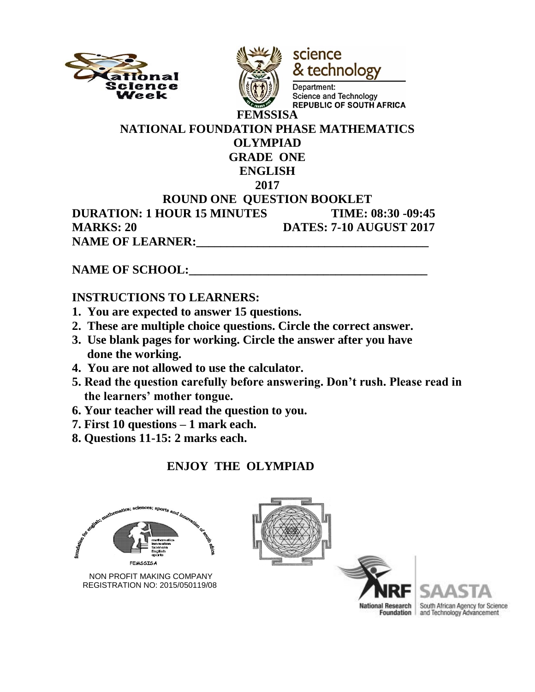



science & technology

Department: Science and Technology **REPUBLIC OF SOUTH AFRICA** 

#### **NATIONAL FOUNDATION PHASE MATHEMATICS OLYMPIAD GRADE ONE ENGLISH 2017 ROUND ONE QUESTION BOOKLET DURATION: 1 HOUR 15 MINUTES TIME: 08:30 -09:45 MARKS: 20 DATES: 7-10 AUGUST 2017 NAME OF LEARNER:**

# NAME OF SCHOOL:

#### **INSTRUCTIONS TO LEARNERS:**

- **1. You are expected to answer 15 questions.**
- **2. These are multiple choice questions. Circle the correct answer.**
- **3. Use blank pages for working. Circle the answer after you have done the working.**
- **4. You are not allowed to use the calculator.**
- **5. Read the question carefully before answering. Don't rush. Please read in the learners' mother tongue.**
- **6. Your teacher will read the question to you.**
- **7. First 10 questions – 1 mark each.**
- **8. Questions 11-15: 2 marks each.**

# **ENJOY THE OLYMPIAD**



 NON PROFIT MAKING COMPANY REGISTRATION NO: 2015/050119/08





South African Agency for Science and Technology Advancement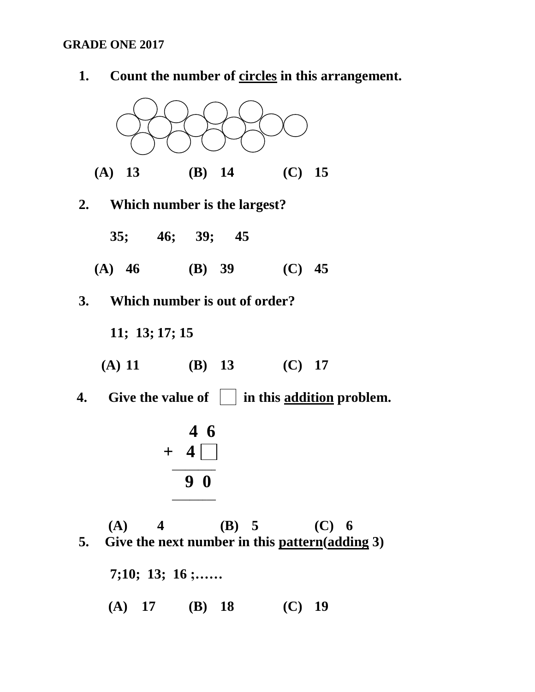#### **GRADE ONE 2017**



 **(A) 17 (B) 18 (C) 19**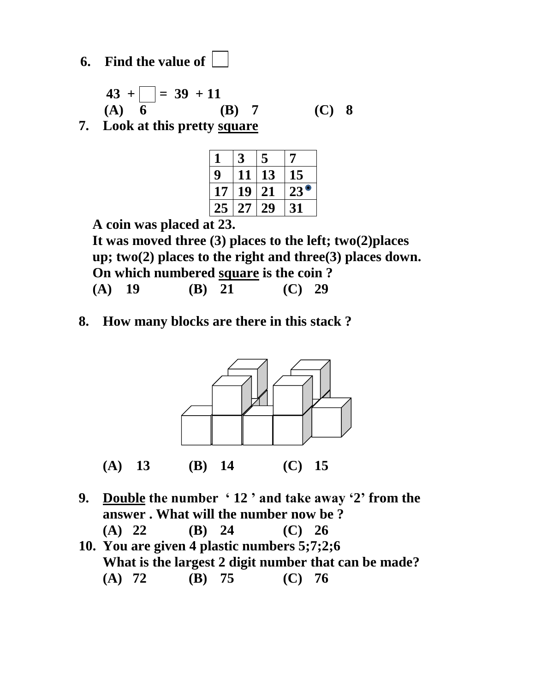**6. Find the value of** 

$$
\begin{array}{c}\n43 + \boxed{ } = 39 + 11 \\
(A) \quad 6 \qquad \qquad (B) \quad 7 \qquad \qquad (C) \quad 8\n\end{array}
$$

**7. Look at this pretty square**

| 1  |    | 5  | 7               |
|----|----|----|-----------------|
| 9  | 11 | 13 | 15              |
| 17 | 19 | 21 | $\bullet$<br>23 |
| 25 | 27 | 29 | 31              |

 **A coin was placed at 23.**

 **It was moved three (3) places to the left; two(2)places up; two(2) places to the right and three(3) places down. On which numbered square is the coin ? (A) 19 (B) 21 (C) 29**

**8. How many blocks are there in this stack ?**



- **9. Double the number ' 12 ' and take away '2' from the answer . What will the number now be ?**
- **(A) 22 (B) 24 (C) 26 10. You are given 4 plastic numbers 5;7;2;6**
	- **What is the largest 2 digit number that can be made? (A) 72 (B) 75 (C) 76**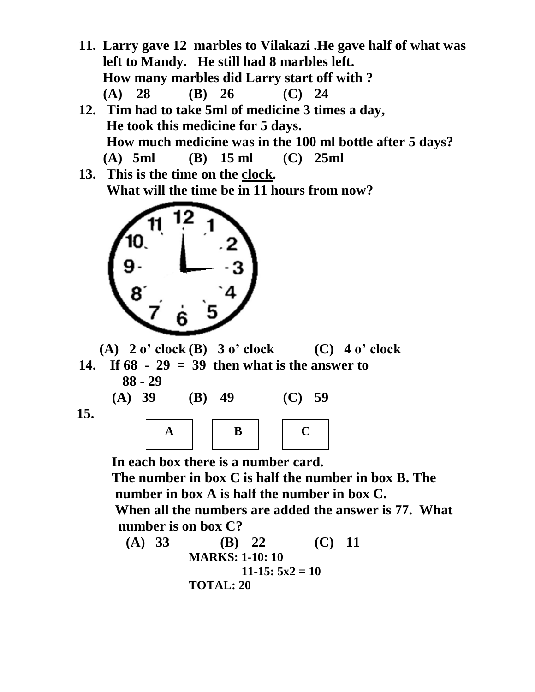- **11. Larry gave 12 marbles to Vilakazi .He gave half of what was left to Mandy. He still had 8 marbles left. How many marbles did Larry start off with ? (A) 28 (B) 26 (C) 24**
- **12. Tim had to take 5ml of medicine 3 times a day, He took this medicine for 5 days. How much medicine was in the 100 ml bottle after 5 days?**<br>(A) 5ml (B) 15 ml (C) 25ml  **(A) 5ml (B) 15 ml (C) 25ml**
- **13. This is the time on the clock. What will the time be in 11 hours from now?**



 **(A) 2 o' clock (B) 3 o' clock (C) 4 o' clock 14. If 68 - 29 = 39 then what is the answer to 88 - 29**

**(A) 39 (B) 49 (C) 59** 

 **15.** 

|--|--|--|

 **In each box there is a number card. The number in box C is half the number in box B. The number in box A is half the number in box C. When all the numbers are added the answer is 77. What number is on box C?**

(A) 33   
\n
$$
(B) 22 \nMARKS: 1-10: 10 \n11-15: 5x2 = 10 \n\text{TOTAL: } 20
$$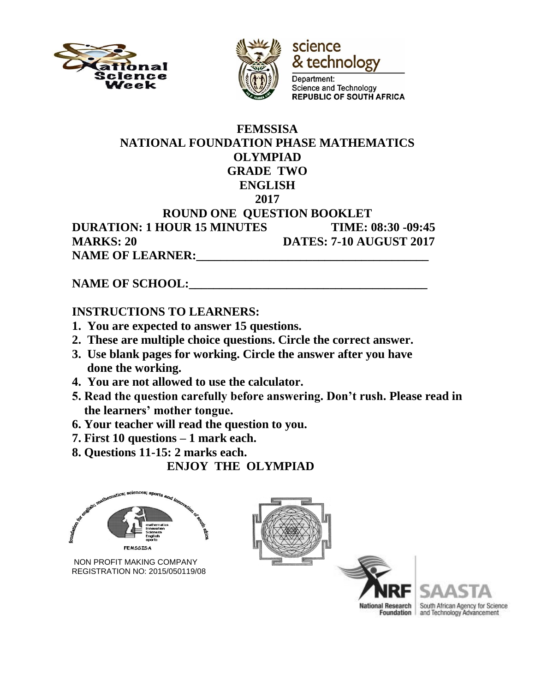



science & technology Department:

**Science and Technology REPUBLIC OF SOUTH AFRICA** 

#### **FEMSSISA NATIONAL FOUNDATION PHASE MATHEMATICS OLYMPIAD GRADE TWO ENGLISH 2017 ROUND ONE QUESTION BOOKLET DURATION: 1 HOUR 15 MINUTES TIME: 08:30 -09:45 MARKS: 20 DATES: 7-10 AUGUST 2017** NAME OF LEARNER:

## NAME OF SCHOOL:

#### **INSTRUCTIONS TO LEARNERS:**

- **1. You are expected to answer 15 questions.**
- **2. These are multiple choice questions. Circle the correct answer.**
- **3. Use blank pages for working. Circle the answer after you have done the working.**
- **4. You are not allowed to use the calculator.**
- **5. Read the question carefully before answering. Don't rush. Please read in the learners' mother tongue.**
- **6. Your teacher will read the question to you.**
- **7. First 10 questions – 1 mark each.**
- **8. Questions 11-15: 2 marks each.**

## **ENJOY THE OLYMPIAD**



 NON PROFIT MAKING COMPANY REGISTRATION NO: 2015/050119/08





South African Agency for Science and Technology Advancement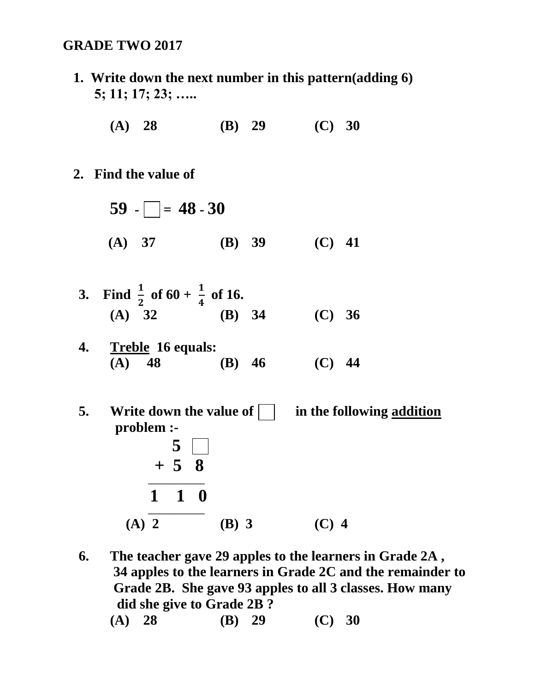#### **GRADE TWO 2017**

 **1. Write down the next number in this pattern(adding 6) 5; 11; 17; 23; …..**

**(A) 28 (B) 29 (C) 30**

- **2. Find the value of** 
	- $59 48 30$  **(A) 37 (B) 39 (C) 41**
	- **3.** Find  $\frac{1}{2}$  of 60 +  $\frac{1}{4}$  of 16. **(A) 32 (B) 34 (C) 36**
	- **4. Treble 16 equals: (A) 48 (B) 46 (C) 44**
- **5. Write down the value of in the following addition problem :- 5 + 5 8 \_\_\_\_\_\_\_\_\_\_\_\_\_ 1 1 0 \_\_\_\_\_\_\_\_\_\_\_\_\_ (A) 2 (B) 3 (C) 4**
	- **6. The teacher gave 29 apples to the learners in Grade 2A , 34 apples to the learners in Grade 2C and the remainder to Grade 2B. She gave 93 apples to all 3 classes. How many did she give to Grade 2B ? (A) 28 (B) 29 (C) 30**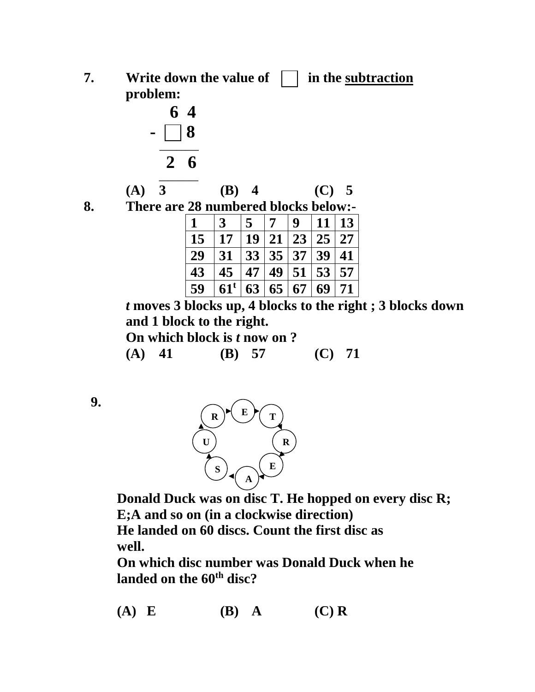**7. Write down the value of**  in the subtraction  **problem:**



|        | $(A)$ 3 |        | $(B)$ 4 |   | (C) 5 |  |
|--------|---------|--------|---------|---|-------|--|
| $\sim$ |         | $\sim$ |         | . |       |  |

|  | 8. | There are 28 numbered blocks below:- |
|--|----|--------------------------------------|
|--|----|--------------------------------------|

|    | $\mathbf{3}$ | $\overline{5}$ | 17 | $\boldsymbol{Q}$ | 11 <sup>1</sup> | 13 |
|----|--------------|----------------|----|------------------|-----------------|----|
| 15 | 17           |                |    | 19 21 23 25 27   |                 |    |
| 29 | 31           | 33 35 37 39 41 |    |                  |                 |    |
| 43 | 45           |                |    | 47 49 51 53 57   |                 |    |
| 59 | $61^{\rm t}$ | 63             | 65 | $\vert 67 \vert$ | 69              | 71 |

*t* **moves 3 blocks up, 4 blocks to the right ; 3 blocks down and 1 block to the right.**

 **On which block is** *t* **now on ?**

 **(A) 41 (B) 57 (C) 71**





 **Donald Duck was on disc T. He hopped on every disc R; E;A and so on (in a clockwise direction)**

 **He landed on 60 discs. Count the first disc as well.** 

 **On which disc number was Donald Duck when he landed on the 60 th disc?**

 **(A) E (B) A (C) R**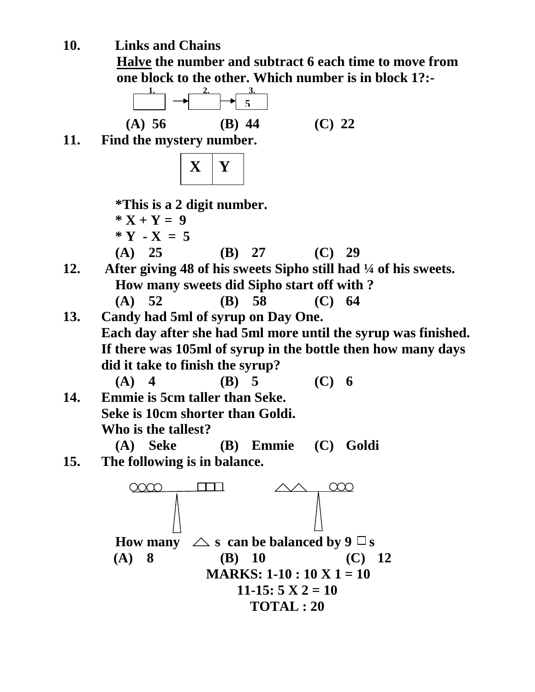**10. Links and Chains**

**Halve the number and subtract 6 each time to move from one block to the other. Which number is in block 1?:-**

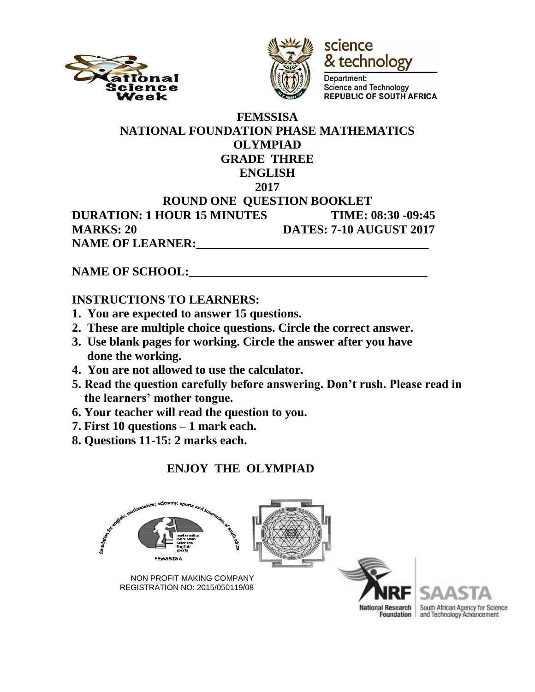



science & technology

Department: Science and Technology **REPUBLIC OF SOUTH AFRICA** 

#### **FEMSSISA NATIONAL FOUNDATION PHASE MATHEMATICS OLYMPIAD GRADE THREE ENGLISH 2017 ROUND ONE QUESTION BOOKLET DURATION: 1 HOUR 15 MINUTES TIME: 08:30 -09:45 MARKS: 20 DATES: 7-10 AUGUST 2017 NAME OF LEARNER:\_\_\_\_\_\_\_\_\_\_\_\_\_\_\_\_\_\_\_\_\_\_\_\_\_\_\_\_\_\_\_\_\_\_\_\_\_\_**

**NAME OF SCHOOL:** 

## **INSTRUCTIONS TO LEARNERS:**

- **1. You are expected to answer 15 questions.**
- **2. These are multiple choice questions. Circle the correct answer.**
- **3. Use blank pages for working. Circle the answer after you have done the working.**
- **4. You are not allowed to use the calculator.**
- **5. Read the question carefully before answering. Don't rush. Please read in the learners' mother tongue.**
- **6. Your teacher will read the question to you.**
- **7. First 10 questions – 1 mark each.**
- **8. Questions 11-15: 2 marks each.**

# **ENJOY THE OLYMPIAD**





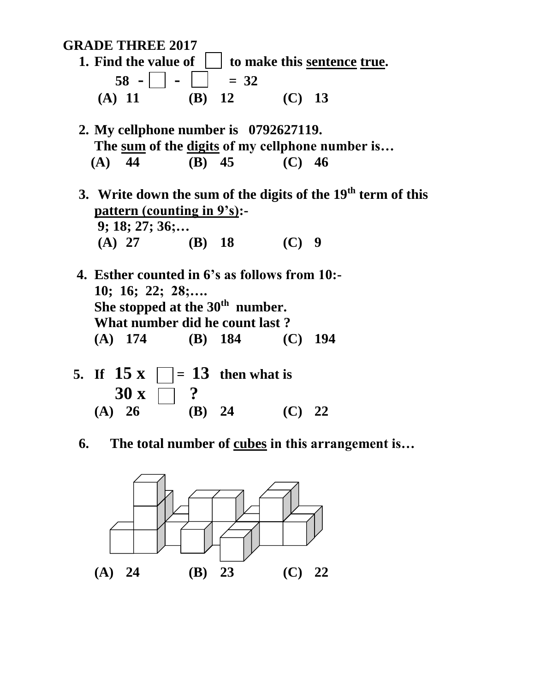**GRADE THREE 2017**

- **1.** Find the value of  $\vert \cdot \vert$  to make this sentence true.  $58 - |$   $|$   $|$   $=$  32  **(A) 11 (B) 12 (C) 13**
- **2. My cellphone number is 0792627119. The sum of the digits of my cellphone number is… (A) 44 (B) 45 (C) 46**
- **3. Write down the sum of the digits of the 19th term of this pattern (counting in 9's):- 9; 18; 27; 36;… (A) 27 (B) 18 (C) 9**
- **4. Esther counted in 6's as follows from 10:- 10; 16; 22; 28;…. She stopped at the 30<sup>th</sup> number. What number did he count last ? (A) 174 (B) 184 (C) 194**
	- **5. If 15 x**  $\Box$  = **13** then what is  $30 x \ \Box \ ?$ **(A) 26 (B) 24 (C) 22**
	- **6. The total number of cubes in this arrangement is…**

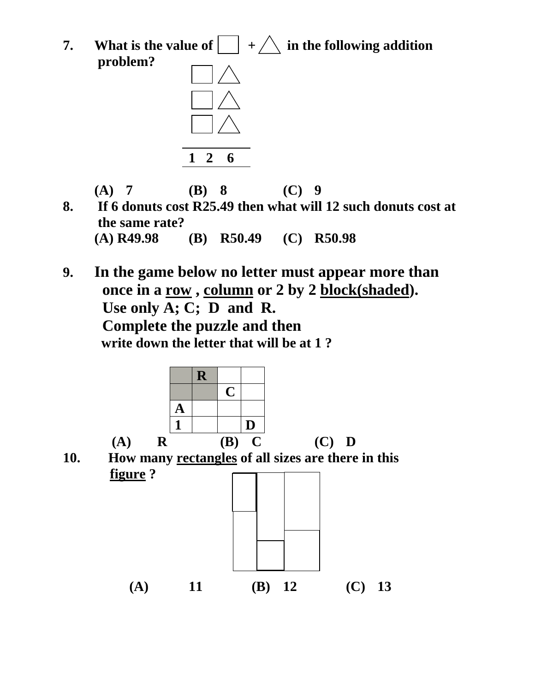**7.** What is the value of  $\Box$  +  $\Diamond$  in the following addition  **problem?**



**(A) 7 (B) 8 (C) 9**

- **8. If 6 donuts cost R25.49 then what will 12 such donuts cost at the same rate? (A) R49.98 (B) R50.49 (C) R50.98**
- **9. In the game below no letter must appear more than once in a row , column or 2 by 2 block(shaded). Use only A; C; D and R. Complete the puzzle and then write down the letter that will be at 1 ?**